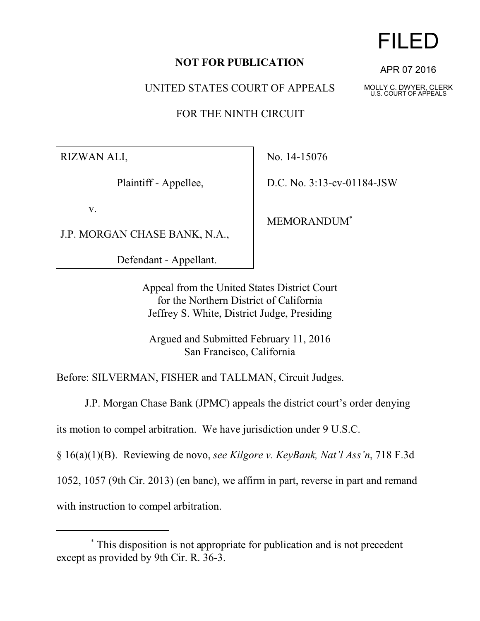## **NOT FOR PUBLICATION**

UNITED STATES COURT OF APPEALS

FOR THE NINTH CIRCUIT

RIZWAN ALI,

Plaintiff - Appellee,

v.

J.P. MORGAN CHASE BANK, N.A.,

Defendant - Appellant.

No. 14-15076

D.C. No. 3:13-cv-01184-JSW

MEMORANDUM\*

Appeal from the United States District Court for the Northern District of California Jeffrey S. White, District Judge, Presiding

Argued and Submitted February 11, 2016 San Francisco, California

Before: SILVERMAN, FISHER and TALLMAN, Circuit Judges.

J.P. Morgan Chase Bank (JPMC) appeals the district court's order denying

its motion to compel arbitration. We have jurisdiction under 9 U.S.C.

§ 16(a)(1)(B). Reviewing de novo, *see Kilgore v. KeyBank, Nat'l Ass'n*, 718 F.3d

1052, 1057 (9th Cir. 2013) (en banc), we affirm in part, reverse in part and remand

with instruction to compel arbitration.



APR 07 2016

MOLLY C. DWYER, CLERK U.S. COURT OF APPEALS

 <sup>\*</sup> This disposition is not appropriate for publication and is not precedent except as provided by 9th Cir. R. 36-3.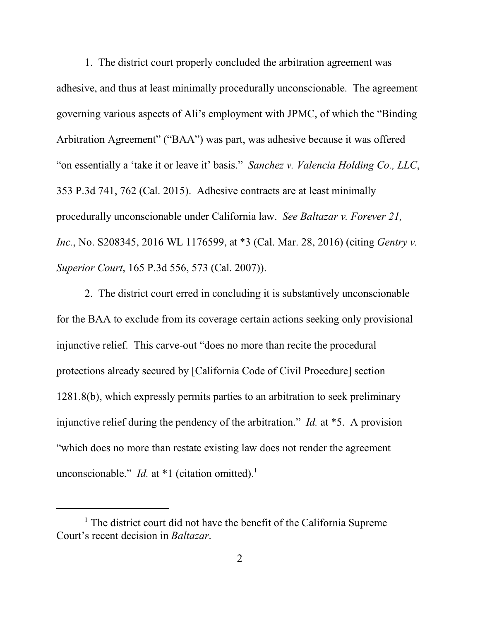1. The district court properly concluded the arbitration agreement was adhesive, and thus at least minimally procedurally unconscionable. The agreement governing various aspects of Ali's employment with JPMC, of which the "Binding Arbitration Agreement" ("BAA") was part, was adhesive because it was offered "on essentially a 'take it or leave it' basis." *Sanchez v. Valencia Holding Co., LLC*, 353 P.3d 741, 762 (Cal. 2015). Adhesive contracts are at least minimally procedurally unconscionable under California law. *See Baltazar v. Forever 21, Inc.*, No. S208345, 2016 WL 1176599, at \*3 (Cal. Mar. 28, 2016) (citing *Gentry v. Superior Court*, 165 P.3d 556, 573 (Cal. 2007)).

2. The district court erred in concluding it is substantively unconscionable for the BAA to exclude from its coverage certain actions seeking only provisional injunctive relief. This carve-out "does no more than recite the procedural protections already secured by [California Code of Civil Procedure] section 1281.8(b), which expressly permits parties to an arbitration to seek preliminary injunctive relief during the pendency of the arbitration." *Id.* at \*5. A provision "which does no more than restate existing law does not render the agreement unconscionable." *Id.* at  $*1$  (citation omitted).<sup>1</sup>

<sup>&</sup>lt;sup>1</sup> The district court did not have the benefit of the California Supreme Court's recent decision in *Baltazar*.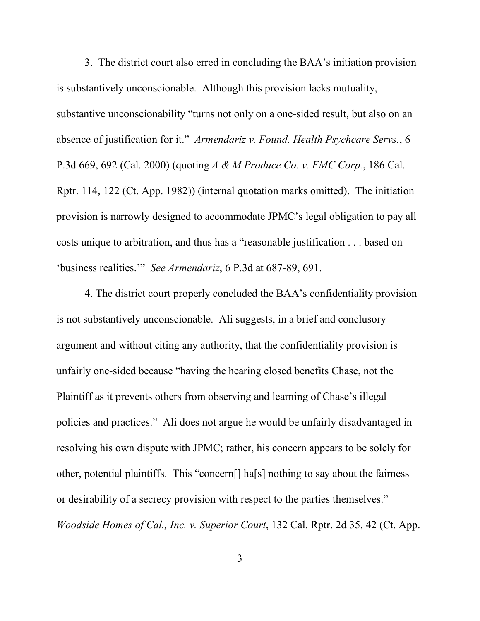3. The district court also erred in concluding the BAA's initiation provision is substantively unconscionable. Although this provision lacks mutuality, substantive unconscionability "turns not only on a one-sided result, but also on an absence of justification for it." *Armendariz v. Found. Health Psychcare Servs.*, 6 P.3d 669, 692 (Cal. 2000) (quoting *A & M Produce Co. v. FMC Corp.*, 186 Cal. Rptr. 114, 122 (Ct. App. 1982)) (internal quotation marks omitted). The initiation provision is narrowly designed to accommodate JPMC's legal obligation to pay all costs unique to arbitration, and thus has a "reasonable justification . . . based on 'business realities.'" *See Armendariz*, 6 P.3d at 687-89, 691.

4. The district court properly concluded the BAA's confidentiality provision is not substantively unconscionable. Ali suggests, in a brief and conclusory argument and without citing any authority, that the confidentiality provision is unfairly one-sided because "having the hearing closed benefits Chase, not the Plaintiff as it prevents others from observing and learning of Chase's illegal policies and practices." Ali does not argue he would be unfairly disadvantaged in resolving his own dispute with JPMC; rather, his concern appears to be solely for other, potential plaintiffs. This "concern[] ha[s] nothing to say about the fairness or desirability of a secrecy provision with respect to the parties themselves." *Woodside Homes of Cal., Inc. v. Superior Court*, 132 Cal. Rptr. 2d 35, 42 (Ct. App.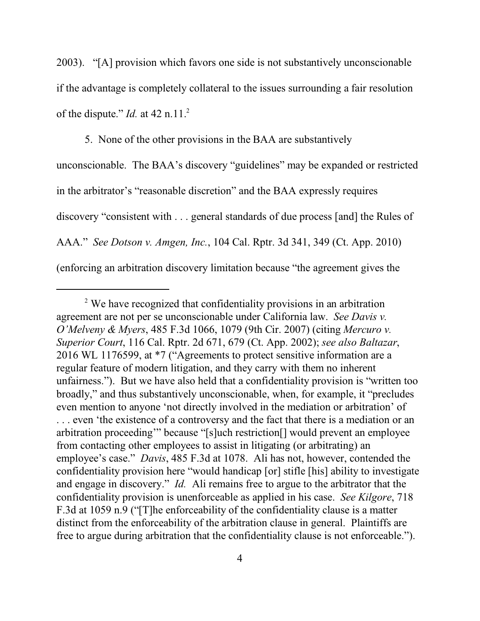2003). "[A] provision which favors one side is not substantively unconscionable if the advantage is completely collateral to the issues surrounding a fair resolution of the dispute." *Id.* at 42 n.11.<sup>2</sup>

5. None of the other provisions in the BAA are substantively unconscionable. The BAA's discovery "guidelines" may be expanded or restricted in the arbitrator's "reasonable discretion" and the BAA expressly requires discovery "consistent with . . . general standards of due process [and] the Rules of AAA." *See Dotson v. Amgen, Inc.*, 104 Cal. Rptr. 3d 341, 349 (Ct. App. 2010) (enforcing an arbitration discovery limitation because "the agreement gives the

<sup>&</sup>lt;sup>2</sup> We have recognized that confidentiality provisions in an arbitration agreement are not per se unconscionable under California law. *See Davis v. O'Melveny & Myers*, 485 F.3d 1066, 1079 (9th Cir. 2007) (citing *Mercuro v. Superior Court*, 116 Cal. Rptr. 2d 671, 679 (Ct. App. 2002); *see also Baltazar*, 2016 WL 1176599, at \*7 ("Agreements to protect sensitive information are a regular feature of modern litigation, and they carry with them no inherent unfairness."). But we have also held that a confidentiality provision is "written too broadly," and thus substantively unconscionable, when, for example, it "precludes even mention to anyone 'not directly involved in the mediation or arbitration' of . . . even 'the existence of a controversy and the fact that there is a mediation or an arbitration proceeding'" because "[s]uch restriction[] would prevent an employee from contacting other employees to assist in litigating (or arbitrating) an employee's case." *Davis*, 485 F.3d at 1078. Ali has not, however, contended the confidentiality provision here "would handicap [or] stifle [his] ability to investigate and engage in discovery." *Id.* Ali remains free to argue to the arbitrator that the confidentiality provision is unenforceable as applied in his case. *See Kilgore*, 718 F.3d at 1059 n.9 ("[T]he enforceability of the confidentiality clause is a matter distinct from the enforceability of the arbitration clause in general. Plaintiffs are free to argue during arbitration that the confidentiality clause is not enforceable.").